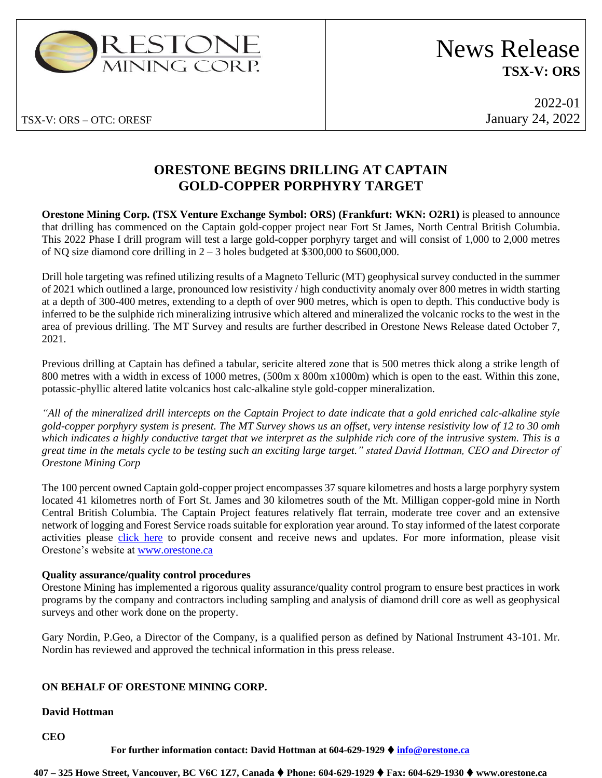

# News Release **TSX-V: ORS**

2022-01 January 24, 2022

### **ORESTONE BEGINS DRILLING AT CAPTAIN GOLD-COPPER PORPHYRY TARGET**

**Orestone Mining Corp. (TSX Venture Exchange Symbol: ORS) (Frankfurt: WKN: O2R1)** is pleased to announce that drilling has commenced on the Captain gold-copper project near Fort St James, North Central British Columbia. This 2022 Phase I drill program will test a large gold-copper porphyry target and will consist of 1,000 to 2,000 metres of NQ size diamond core drilling in 2 – 3 holes budgeted at \$300,000 to \$600,000.

Drill hole targeting was refined utilizing results of a Magneto Telluric (MT) geophysical survey conducted in the summer of 2021 which outlined a large, pronounced low resistivity / high conductivity anomaly over 800 metres in width starting at a depth of 300-400 metres, extending to a depth of over 900 metres, which is open to depth. This conductive body is inferred to be the sulphide rich mineralizing intrusive which altered and mineralized the volcanic rocks to the west in the area of previous drilling. The MT Survey and results are further described in Orestone News Release dated October 7, 2021.

Previous drilling at Captain has defined a tabular, sericite altered zone that is 500 metres thick along a strike length of 800 metres with a width in excess of 1000 metres, (500m x 800m x1000m) which is open to the east. Within this zone, potassic-phyllic altered latite volcanics host calc-alkaline style gold-copper mineralization.

*"All of the mineralized drill intercepts on the Captain Project to date indicate that a gold enriched calc-alkaline style gold-copper porphyry system is present. The MT Survey shows us an offset, very intense resistivity low of 12 to 30 omh which indicates a highly conductive target that we interpret as the sulphide rich core of the intrusive system. This is a great time in the metals cycle to be testing such an exciting large target." stated David Hottman, CEO and Director of Orestone Mining Corp*

The 100 percent owned Captain gold-copper project encompasses 37 square kilometres and hosts a large porphyry system located 41 kilometres north of Fort St. James and 30 kilometres south of the Mt. Milligan copper-gold mine in North Central British Columbia. The Captain Project features relatively flat terrain, moderate tree cover and an extensive network of logging and Forest Service roads suitable for exploration year around. To stay informed of the latest corporate activities please [click here](http://orestone.com/contact/) to provide consent and receive news and updates. For more information, please visit Orestone's website at [www.orestone.ca](http://www.orestone.ca/)

#### **Quality assurance/quality control procedures**

Orestone Mining has implemented a rigorous quality assurance/quality control program to ensure best practices in work programs by the company and contractors including sampling and analysis of diamond drill core as well as geophysical surveys and other work done on the property.

Gary Nordin, P.Geo, a Director of the Company, is a qualified person as defined by National Instrument 43-101. Mr. Nordin has reviewed and approved the technical information in this press release.

### **ON BEHALF OF ORESTONE MINING CORP.**

#### **David Hottman**

**CEO**

#### **For further information contact: David Hottman at 604-629-1929** ⧫ **[info@orestone.ca](mailto:info@orestone.ca)**

**407 – 325 Howe Street, Vancouver, BC V6C 1Z7, Canada** ⧫ **Phone: 604-629-1929** ⧫ **Fax: 604-629-1930** ⧫ **www.orestone.ca**